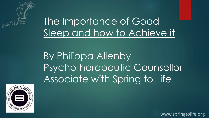

The Importance of Good Sleep and how to Achieve it

By Philippa Allenby Psychotherapeutic Counsellor Associate with Spring to Life

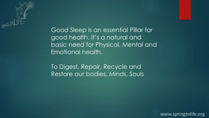

Good Sleep is an essential Pillar for good health. It's a natural and basic need for Physical, Mental and Emotional health.

To Digest, Repair, Recycle and Restore our bodies, Minds, Souls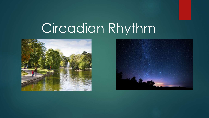# Circadian Rhythm



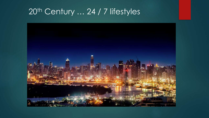### 20<sup>th</sup> Century ... 24 / 7 lifestyles

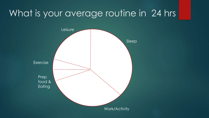# What is your average routine in 24 hrs

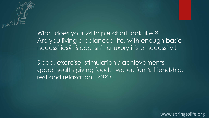

What does your 24 hr pie chart look like ? Are you living a balanced life, with enough basic necessities? Sleep isn't a luxury it's a necessity !

Sleep, exercise, stimulation / achievements, good health giving food, water, fun & friendship, rest and relaxation ?????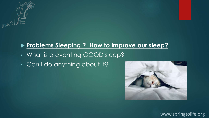

### **Problems Sleeping ? How to improve our sleep?**

- What is preventing GOOD sleep?
- Can I do anything about it?

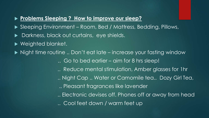#### **Problems Sleeping ? How to improve our sleep?**

- ▶ Sleeping Environment Room, Bed / Mattress, Bedding, Pillows,
- Darkness, black out curtains, eye shields.
- ▶ Weighted blanket.

▶ Night time routine .. Don't eat late – increase your fasting window

.. Go to bed earlier – aim for 8 hrs sleep!

- .. Reduce mental stimulation, Amber glasses for 1hr
- .. Night Cap .. Water or Camomile tea.. Dozy Girl Tea,
- .. Pleasant fragrances like lavender
- .. Electronic devises off. Phones off or away from head .. Cool feet down / warm feet up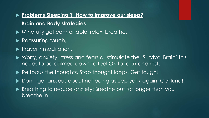### **Problems Sleeping ? How to improve our sleep? Brain and Body strategies**

- Mindfully get comfortable, relax, breathe.
- Reassuring touch,
- **Prayer / meditation.**
- ▶ Worry, anxiety, stress and fears all stimulate the 'Survival Brain' this needs to be calmed down to feel OK to relax and rest.
- Re focus the thoughts. Stop thought loops. Get tough!
- ▶ Don't get anxious about not being asleep yet / again. Get kind!
- ▶ Breathing to reduce anxiety: Breathe out for longer than you breathe in.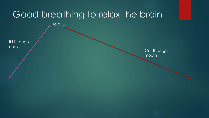## Good breathing to relax the brain

Hold…..

IN through nose

Out through mouth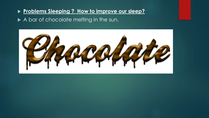#### **Problems Sleeping ? How to improve our sleep?**

#### A bar of chocolate melting in the sun.

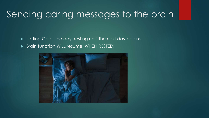# Sending caring messages to the brain

Exterting Go of the day, resting until the next day begins.

Brain function WILL resume. WHEN RESTED!

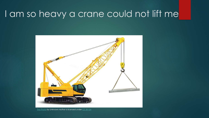### I am so heavy a crane could not lift me



[This Photo](https://www.atlantictraining.com/blog/crane-illustration-free-stock-photo/) by Unknown Author is licensed under [CC BY-SA](https://creativecommons.org/licenses/by-sa/3.0/)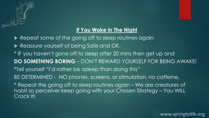

#### **If You Wake in The Night**

Repeat some of the going off to sleep routines again Reassure yourself of being Safe and OK. \* IF you haven't gone off to sleep after 20 mins then get up and **DO SOMETHING BORING** – DON'T REWARD YOURSELF FOR BEING AWAKE! \*Tell yourself "I'd rather be asleep than doing this" BE DETERMINED - NO phones, screens, or stimulation, no caffeine. \* Repeat the going off to sleep routines again – We are creatures of habit so perceiver keep going with your Chosen Strategy – You WILL Crack It!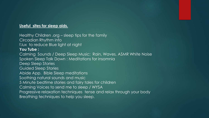#### **Useful sites for sleep aids.**

Healthy Children .org – sleep tips for the family Circadian Rhythm info f.lux to reduce Blue light at night **You Tube :** Calming Sounds / Deep Sleep Music: Rain, Waves, ASMR White Noise Spoken Sleep Talk Down : Meditations for insomnia Deep Sleep Stories Guided Sleep Stories Abide App. Bible Sleep meditations Soothing natural sounds and music 5 Minute bedtime stories and fairy tales for children Calming Voices to send me to sleep / WYSA Progressive relaxation techniques tense and relax through your body Breathing techniques to help you sleep.